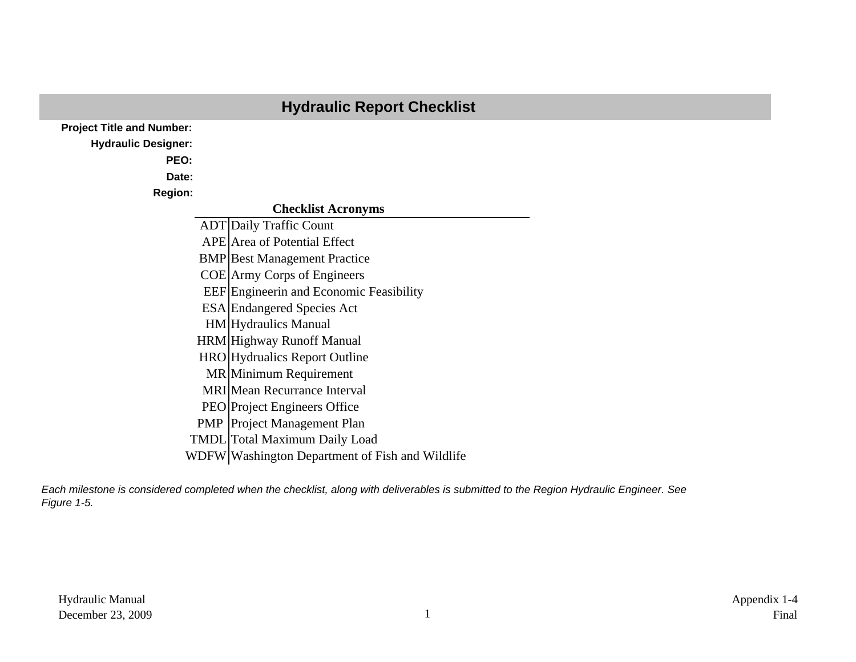|                                  | <b>Hydraulic Report Checklist</b>               |
|----------------------------------|-------------------------------------------------|
| <b>Project Title and Number:</b> |                                                 |
| <b>Hydraulic Designer:</b>       |                                                 |
| PEO:                             |                                                 |
| Date:                            |                                                 |
| <b>Region:</b>                   |                                                 |
|                                  | <b>Checklist Acronyms</b>                       |
|                                  | <b>ADT</b> Daily Traffic Count                  |
|                                  | <b>APE</b> Area of Potential Effect             |
|                                  | <b>BMP</b> Best Management Practice             |
|                                  | <b>COE</b> Army Corps of Engineers              |
|                                  | <b>EEF</b> Engineerin and Economic Feasibility  |
|                                  | <b>ESA</b> Endangered Species Act               |
|                                  | <b>HM</b> Hydraulics Manual                     |
|                                  | <b>HRM</b> Highway Runoff Manual                |
|                                  | <b>HRO</b> Hydrualics Report Outline            |
|                                  | MR Minimum Requirement                          |
|                                  | <b>MRI</b> Mean Recurrance Interval             |
|                                  | <b>PEO</b> Project Engineers Office             |
|                                  | <b>PMP</b> Project Management Plan              |
|                                  | <b>TMDL</b> Total Maximum Daily Load            |
|                                  | WDFW Washington Department of Fish and Wildlife |

*Each milestone is considered completed when the checklist, along with deliverables is submitted to the Region Hydraulic Engineer. See Figure 1-5.*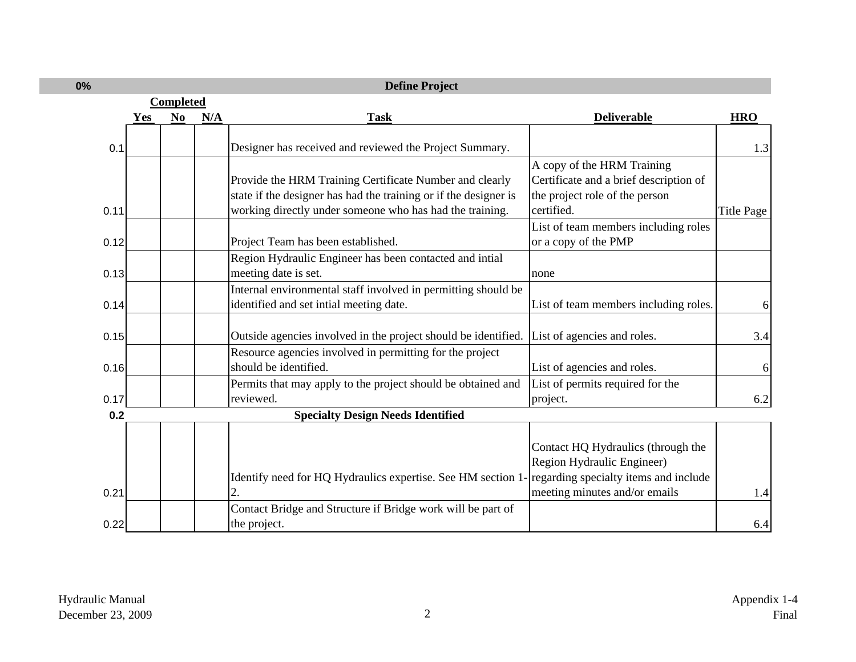|      |            |                  |     | <b>Define Project</b>                                                                              |                                        |                   |
|------|------------|------------------|-----|----------------------------------------------------------------------------------------------------|----------------------------------------|-------------------|
|      |            | <b>Completed</b> |     |                                                                                                    |                                        |                   |
|      | <b>Yes</b> | N <sub>0</sub>   | N/A | <b>Task</b>                                                                                        | <b>Deliverable</b>                     | <b>HRO</b>        |
|      |            |                  |     |                                                                                                    |                                        |                   |
| 0.1  |            |                  |     | Designer has received and reviewed the Project Summary.                                            |                                        | 1.3               |
|      |            |                  |     |                                                                                                    | A copy of the HRM Training             |                   |
|      |            |                  |     | Provide the HRM Training Certificate Number and clearly                                            | Certificate and a brief description of |                   |
|      |            |                  |     | state if the designer has had the training or if the designer is                                   | the project role of the person         |                   |
| 0.11 |            |                  |     | working directly under someone who has had the training.                                           | certified.                             | <b>Title Page</b> |
|      |            |                  |     |                                                                                                    | List of team members including roles   |                   |
| 0.12 |            |                  |     | Project Team has been established.                                                                 | or a copy of the PMP                   |                   |
|      |            |                  |     | Region Hydraulic Engineer has been contacted and intial                                            |                                        |                   |
| 0.13 |            |                  |     | meeting date is set.                                                                               | none                                   |                   |
|      |            |                  |     | Internal environmental staff involved in permitting should be                                      |                                        |                   |
| 0.14 |            |                  |     | identified and set intial meeting date.                                                            | List of team members including roles.  | 6                 |
|      |            |                  |     |                                                                                                    |                                        |                   |
| 0.15 |            |                  |     | Outside agencies involved in the project should be identified.                                     | List of agencies and roles.            | 3.4               |
|      |            |                  |     | Resource agencies involved in permitting for the project                                           |                                        |                   |
| 0.16 |            |                  |     | should be identified.                                                                              | List of agencies and roles.            | 6                 |
|      |            |                  |     | Permits that may apply to the project should be obtained and                                       | List of permits required for the       |                   |
| 0.17 |            |                  |     | reviewed.                                                                                          | project.                               | 6.2               |
| 0.2  |            |                  |     | <b>Specialty Design Needs Identified</b>                                                           |                                        |                   |
|      |            |                  |     |                                                                                                    |                                        |                   |
|      |            |                  |     |                                                                                                    | Contact HQ Hydraulics (through the     |                   |
|      |            |                  |     |                                                                                                    | Region Hydraulic Engineer)             |                   |
|      |            |                  |     | Identify need for HQ Hydraulics expertise. See HM section 1- regarding specialty items and include |                                        |                   |
| 0.21 |            |                  |     | 2.                                                                                                 | meeting minutes and/or emails          | 1.4               |
|      |            |                  |     | Contact Bridge and Structure if Bridge work will be part of                                        |                                        |                   |
| 0.22 |            |                  |     | the project.                                                                                       |                                        | 6.4               |

**0%**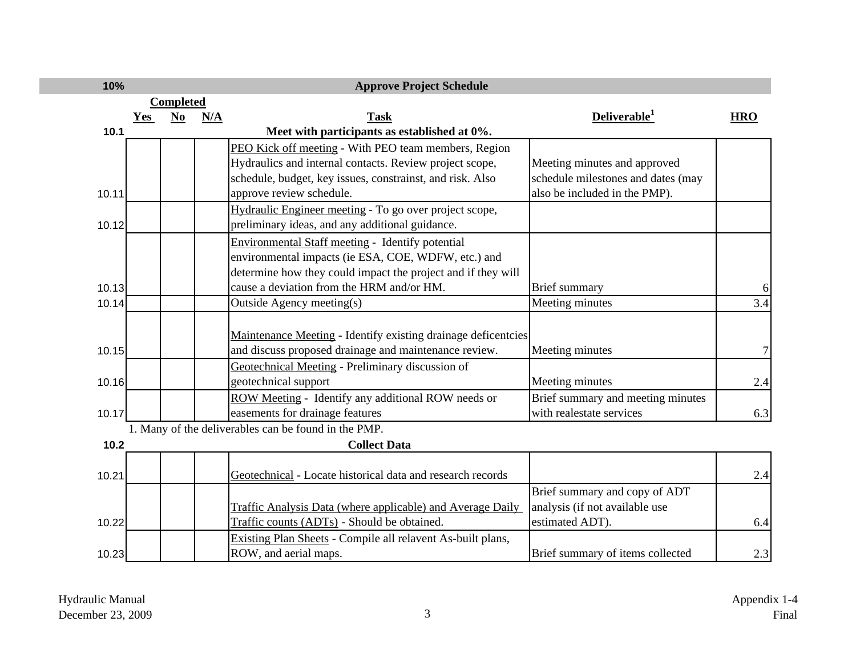| 10%   |            |                  |     | <b>Approve Project Schedule</b>                               |                                    |            |
|-------|------------|------------------|-----|---------------------------------------------------------------|------------------------------------|------------|
|       |            | <b>Completed</b> |     |                                                               |                                    |            |
|       | <b>Yes</b> | N <sub>0</sub>   | N/A | <b>Task</b>                                                   | Deliverable <sup>1</sup>           | <b>HRO</b> |
| 10.1  |            |                  |     | Meet with participants as established at 0%.                  |                                    |            |
|       |            |                  |     | PEO Kick off meeting - With PEO team members, Region          |                                    |            |
|       |            |                  |     | Hydraulics and internal contacts. Review project scope,       | Meeting minutes and approved       |            |
|       |            |                  |     | schedule, budget, key issues, constrainst, and risk. Also     | schedule milestones and dates (may |            |
| 10.11 |            |                  |     | approve review schedule.                                      | also be included in the PMP).      |            |
|       |            |                  |     | Hydraulic Engineer meeting - To go over project scope,        |                                    |            |
| 10.12 |            |                  |     | preliminary ideas, and any additional guidance.               |                                    |            |
|       |            |                  |     | <b>Environmental Staff meeting - Identify potential</b>       |                                    |            |
|       |            |                  |     | environmental impacts (ie ESA, COE, WDFW, etc.) and           |                                    |            |
|       |            |                  |     | determine how they could impact the project and if they will  |                                    |            |
| 10.13 |            |                  |     | cause a deviation from the HRM and/or HM.                     | <b>Brief</b> summary               | 6          |
| 10.14 |            |                  |     | Outside Agency meeting(s)                                     | Meeting minutes                    | 3.4        |
|       |            |                  |     |                                                               |                                    |            |
|       |            |                  |     | Maintenance Meeting - Identify existing drainage deficentcies |                                    |            |
| 10.15 |            |                  |     | and discuss proposed drainage and maintenance review.         | Meeting minutes                    | 7          |
|       |            |                  |     | Geotechnical Meeting - Preliminary discussion of              |                                    |            |
| 10.16 |            |                  |     | geotechnical support                                          | Meeting minutes                    | 2.4        |
|       |            |                  |     | ROW Meeting - Identify any additional ROW needs or            | Brief summary and meeting minutes  |            |
| 10.17 |            |                  |     | easements for drainage features                               | with realestate services           | 6.3        |
|       |            |                  |     | 1. Many of the deliverables can be found in the PMP.          |                                    |            |
| 10.2  |            |                  |     | <b>Collect Data</b>                                           |                                    |            |
|       |            |                  |     |                                                               |                                    |            |
| 10.21 |            |                  |     | Geotechnical - Locate historical data and research records    |                                    | 2.4        |
|       |            |                  |     |                                                               | Brief summary and copy of ADT      |            |
|       |            |                  |     | Traffic Analysis Data (where applicable) and Average Daily    | analysis (if not available use     |            |
| 10.22 |            |                  |     | Traffic counts (ADTs) - Should be obtained.                   | estimated ADT).                    | 6.4        |
|       |            |                  |     | Existing Plan Sheets - Compile all relavent As-built plans,   |                                    |            |
| 10.23 |            |                  |     | ROW, and aerial maps.                                         | Brief summary of items collected   | 2.3        |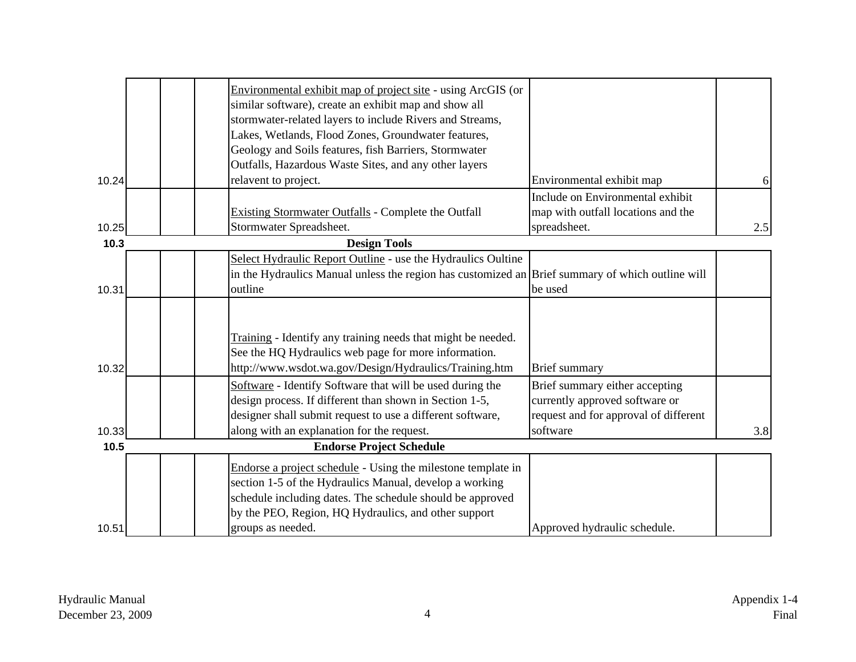|       | Environmental exhibit map of project site - using ArcGIS (or<br>similar software), create an exhibit map and show all<br>stormwater-related layers to include Rivers and Streams,<br>Lakes, Wetlands, Flood Zones, Groundwater features,<br>Geology and Soils features, fish Barriers, Stormwater |                                                                                                           |     |
|-------|---------------------------------------------------------------------------------------------------------------------------------------------------------------------------------------------------------------------------------------------------------------------------------------------------|-----------------------------------------------------------------------------------------------------------|-----|
|       | Outfalls, Hazardous Waste Sites, and any other layers                                                                                                                                                                                                                                             |                                                                                                           |     |
| 10.24 | relavent to project.                                                                                                                                                                                                                                                                              | Environmental exhibit map                                                                                 | 6   |
| 10.25 | Existing Stormwater Outfalls - Complete the Outfall<br>Stormwater Spreadsheet.                                                                                                                                                                                                                    | Include on Environmental exhibit<br>map with outfall locations and the<br>spreadsheet.                    | 2.5 |
|       |                                                                                                                                                                                                                                                                                                   |                                                                                                           |     |
| 10.3  | <b>Design Tools</b>                                                                                                                                                                                                                                                                               |                                                                                                           |     |
| 10.31 | Select Hydraulic Report Outline - use the Hydraulics Oultine<br>in the Hydraulics Manual unless the region has customized an Brief summary of which outline will<br>outline                                                                                                                       | be used                                                                                                   |     |
| 10.32 | Training - Identify any training needs that might be needed.<br>See the HQ Hydraulics web page for more information.<br>http://www.wsdot.wa.gov/Design/Hydraulics/Training.htm                                                                                                                    | <b>Brief</b> summary                                                                                      |     |
|       | Software - Identify Software that will be used during the<br>design process. If different than shown in Section 1-5,<br>designer shall submit request to use a different software,                                                                                                                | Brief summary either accepting<br>currently approved software or<br>request and for approval of different |     |
| 10.33 | along with an explanation for the request.                                                                                                                                                                                                                                                        | software                                                                                                  | 3.8 |
| 10.5  | <b>Endorse Project Schedule</b>                                                                                                                                                                                                                                                                   |                                                                                                           |     |
| 10.51 | Endorse a project schedule - Using the milestone template in<br>section 1-5 of the Hydraulics Manual, develop a working<br>schedule including dates. The schedule should be approved<br>by the PEO, Region, HQ Hydraulics, and other support<br>groups as needed.                                 | Approved hydraulic schedule.                                                                              |     |
|       |                                                                                                                                                                                                                                                                                                   |                                                                                                           |     |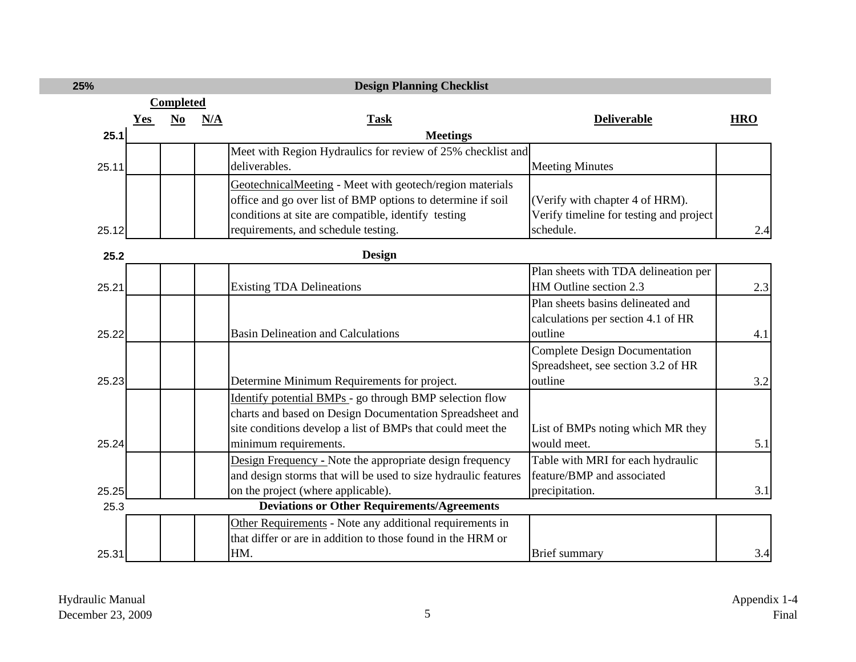| 25%   |                  |      |     | <b>Design Planning Checklist</b>                               |                                         |            |  |
|-------|------------------|------|-----|----------------------------------------------------------------|-----------------------------------------|------------|--|
|       | <b>Completed</b> |      |     |                                                                |                                         |            |  |
|       | Yes              | $No$ | N/A | <b>Task</b>                                                    | <b>Deliverable</b>                      | <b>HRO</b> |  |
| 25.1  |                  |      |     | <b>Meetings</b>                                                |                                         |            |  |
|       |                  |      |     | Meet with Region Hydraulics for review of 25% checklist and    |                                         |            |  |
| 25.11 |                  |      |     | deliverables.                                                  | <b>Meeting Minutes</b>                  |            |  |
|       |                  |      |     | GeotechnicalMeeting - Meet with geotech/region materials       |                                         |            |  |
|       |                  |      |     | office and go over list of BMP options to determine if soil    | (Verify with chapter 4 of HRM).         |            |  |
|       |                  |      |     | conditions at site are compatible, identify testing            | Verify timeline for testing and project |            |  |
| 25.12 |                  |      |     | requirements, and schedule testing.                            | schedule.                               | 2.4        |  |
| 25.2  |                  |      |     | <b>Design</b>                                                  |                                         |            |  |
|       |                  |      |     |                                                                | Plan sheets with TDA delineation per    |            |  |
| 25.21 |                  |      |     | <b>Existing TDA Delineations</b>                               | HM Outline section 2.3                  | 2.3        |  |
|       |                  |      |     |                                                                | Plan sheets basins delineated and       |            |  |
|       |                  |      |     |                                                                | calculations per section 4.1 of HR      |            |  |
| 25.22 |                  |      |     | <b>Basin Delineation and Calculations</b>                      | outline                                 | 4.1        |  |
|       |                  |      |     |                                                                | <b>Complete Design Documentation</b>    |            |  |
|       |                  |      |     |                                                                | Spreadsheet, see section 3.2 of HR      |            |  |
| 25.23 |                  |      |     | Determine Minimum Requirements for project.                    | outline                                 | 3.2        |  |
|       |                  |      |     | Identify potential BMPs - go through BMP selection flow        |                                         |            |  |
|       |                  |      |     | charts and based on Design Documentation Spreadsheet and       |                                         |            |  |
|       |                  |      |     | site conditions develop a list of BMPs that could meet the     | List of BMPs noting which MR they       |            |  |
| 25.24 |                  |      |     | minimum requirements.                                          | would meet.                             | 5.1        |  |
|       |                  |      |     | Design Frequency - Note the appropriate design frequency       | Table with MRI for each hydraulic       |            |  |
|       |                  |      |     | and design storms that will be used to size hydraulic features | feature/BMP and associated              |            |  |
| 25.25 |                  |      |     | on the project (where applicable).                             | precipitation.                          | 3.1        |  |
| 25.3  |                  |      |     | <b>Deviations or Other Requirements/Agreements</b>             |                                         |            |  |
|       |                  |      |     | Other Requirements - Note any additional requirements in       |                                         |            |  |
|       |                  |      |     | that differ or are in addition to those found in the HRM or    |                                         |            |  |
| 25.31 |                  |      |     | HM.                                                            | Brief summary                           | 3.4        |  |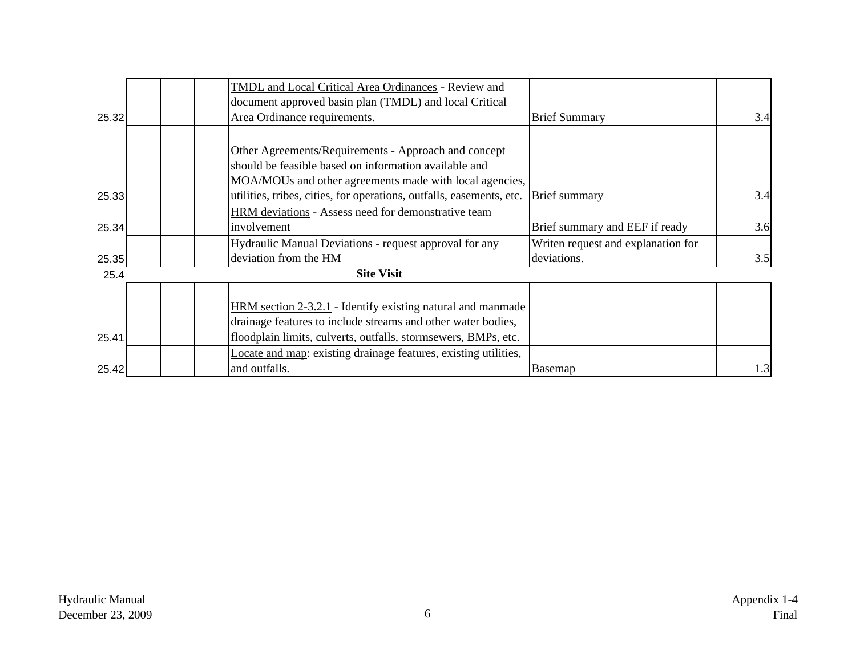|       | TMDL and Local Critical Area Ordinances - Review and                 |                                    |     |
|-------|----------------------------------------------------------------------|------------------------------------|-----|
|       | document approved basin plan (TMDL) and local Critical               |                                    |     |
| 25.32 | Area Ordinance requirements.                                         | <b>Brief Summary</b>               | 3.4 |
|       |                                                                      |                                    |     |
|       | Other Agreements/Requirements - Approach and concept                 |                                    |     |
|       | should be feasible based on information available and                |                                    |     |
|       | MOA/MOUs and other agreements made with local agencies,              |                                    |     |
| 25.33 | utilities, tribes, cities, for operations, outfalls, easements, etc. | <b>Brief</b> summary               | 3.4 |
|       | HRM deviations - Assess need for demonstrative team                  |                                    |     |
| 25.34 | involvement                                                          | Brief summary and EEF if ready     | 3.6 |
|       | Hydraulic Manual Deviations - request approval for any               | Writen request and explanation for |     |
| 25.35 | deviation from the HM                                                | deviations.                        | 3.5 |
| 25.4  | <b>Site Visit</b>                                                    |                                    |     |
|       |                                                                      |                                    |     |
|       | $HRM$ section $2-3.2.1$ - Identify existing natural and manmade      |                                    |     |
|       | drainage features to include streams and other water bodies,         |                                    |     |
| 25.41 | floodplain limits, culverts, outfalls, stormsewers, BMPs, etc.       |                                    |     |
|       | Locate and map: existing drainage features, existing utilities,      |                                    |     |
| 25.42 | and outfalls.                                                        | Basemap                            | 1.3 |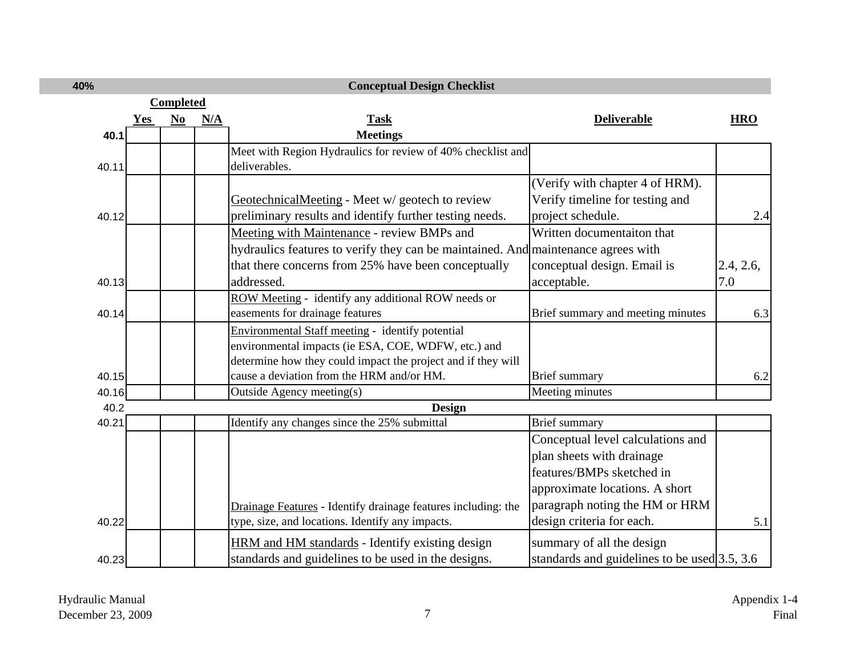| 40%   |            |                  |     | <b>Conceptual Design Checklist</b>                                                |                                                 |            |
|-------|------------|------------------|-----|-----------------------------------------------------------------------------------|-------------------------------------------------|------------|
|       |            | <b>Completed</b> |     |                                                                                   |                                                 |            |
|       | <b>Yes</b> | N <sub>0</sub>   | N/A | <b>Task</b>                                                                       | <b>Deliverable</b>                              | <b>HRO</b> |
| 40.1  |            |                  |     | <b>Meetings</b>                                                                   |                                                 |            |
|       |            |                  |     | Meet with Region Hydraulics for review of 40% checklist and                       |                                                 |            |
| 40.11 |            |                  |     | deliverables.                                                                     |                                                 |            |
|       |            |                  |     |                                                                                   | (Verify with chapter 4 of HRM).                 |            |
|       |            |                  |     | GeotechnicalMeeting - Meet w/ geotech to review                                   | Verify timeline for testing and                 |            |
| 40.12 |            |                  |     | preliminary results and identify further testing needs.                           | project schedule.                               | 2.4        |
|       |            |                  |     | Meeting with Maintenance - review BMPs and                                        | Written documentaiton that                      |            |
|       |            |                  |     | hydraulics features to verify they can be maintained. And maintenance agrees with |                                                 |            |
|       |            |                  |     | that there concerns from 25% have been conceptually                               | conceptual design. Email is                     | 2.4, 2.6,  |
| 40.13 |            |                  |     | addressed.                                                                        | acceptable.                                     | 7.0        |
|       |            |                  |     | ROW Meeting - identify any additional ROW needs or                                |                                                 |            |
| 40.14 |            |                  |     | easements for drainage features                                                   | Brief summary and meeting minutes               | 6.3        |
|       |            |                  |     | Environmental Staff meeting - identify potential                                  |                                                 |            |
|       |            |                  |     | environmental impacts (ie ESA, COE, WDFW, etc.) and                               |                                                 |            |
|       |            |                  |     | determine how they could impact the project and if they will                      |                                                 |            |
| 40.15 |            |                  |     | cause a deviation from the HRM and/or HM.                                         | <b>Brief</b> summary                            | 6.2        |
| 40.16 |            |                  |     | Outside Agency meeting(s)                                                         | Meeting minutes                                 |            |
| 40.2  |            |                  |     | <b>Design</b>                                                                     |                                                 |            |
| 40.21 |            |                  |     | Identify any changes since the 25% submittal                                      | <b>Brief</b> summary                            |            |
|       |            |                  |     |                                                                                   | Conceptual level calculations and               |            |
|       |            |                  |     |                                                                                   | plan sheets with drainage                       |            |
|       |            |                  |     |                                                                                   | features/BMPs sketched in                       |            |
|       |            |                  |     |                                                                                   | approximate locations. A short                  |            |
|       |            |                  |     | Drainage Features - Identify drainage features including: the                     | paragraph noting the HM or HRM                  |            |
| 40.22 |            |                  |     | type, size, and locations. Identify any impacts.                                  | design criteria for each.                       | 5.1        |
|       |            |                  |     | HRM and HM standards - Identify existing design                                   | summary of all the design                       |            |
| 40.23 |            |                  |     | standards and guidelines to be used in the designs.                               | standards and guidelines to be used $3.5$ , 3.6 |            |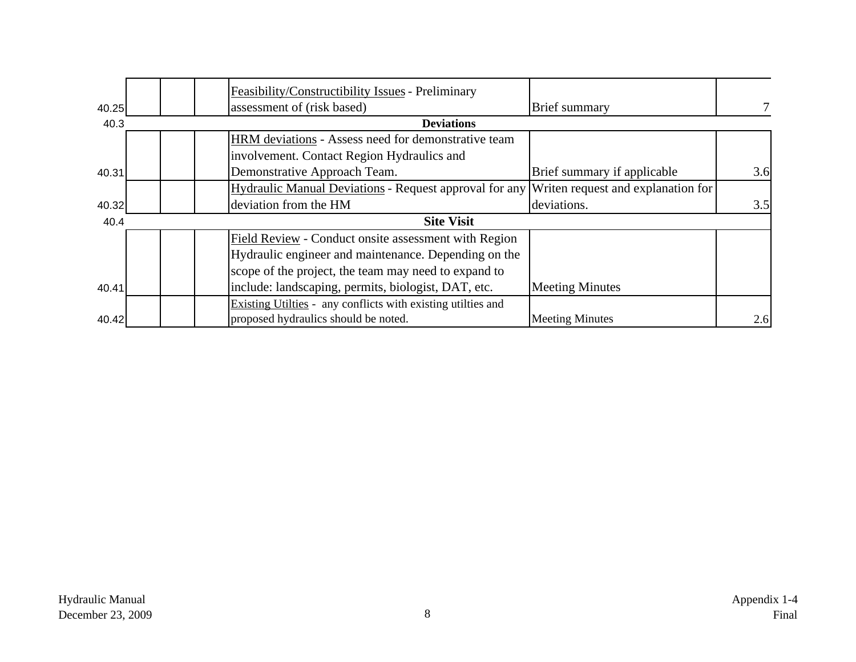|       | Feasibility/Constructibility Issues - Preliminary                                         |                             |     |
|-------|-------------------------------------------------------------------------------------------|-----------------------------|-----|
| 40.25 | assessment of (risk based)                                                                | Brief summary               |     |
| 40.3  | <b>Deviations</b>                                                                         |                             |     |
|       | HRM deviations - Assess need for demonstrative team                                       |                             |     |
|       | involvement. Contact Region Hydraulics and                                                |                             |     |
| 40.31 | Demonstrative Approach Team.                                                              | Brief summary if applicable | 3.6 |
|       | Hydraulic Manual Deviations - Request approval for any Writen request and explanation for |                             |     |
| 40.32 | deviation from the HM                                                                     | deviations.                 | 3.5 |
| 40.4  | <b>Site Visit</b>                                                                         |                             |     |
|       | Field Review - Conduct onsite assessment with Region                                      |                             |     |
|       | Hydraulic engineer and maintenance. Depending on the                                      |                             |     |
|       | scope of the project, the team may need to expand to                                      |                             |     |
| 40.41 | include: landscaping, permits, biologist, DAT, etc.                                       | <b>Meeting Minutes</b>      |     |
|       | Existing Utilties - any conflicts with existing utilties and                              |                             |     |
| 40.42 | proposed hydraulics should be noted.                                                      | <b>Meeting Minutes</b>      | 2.6 |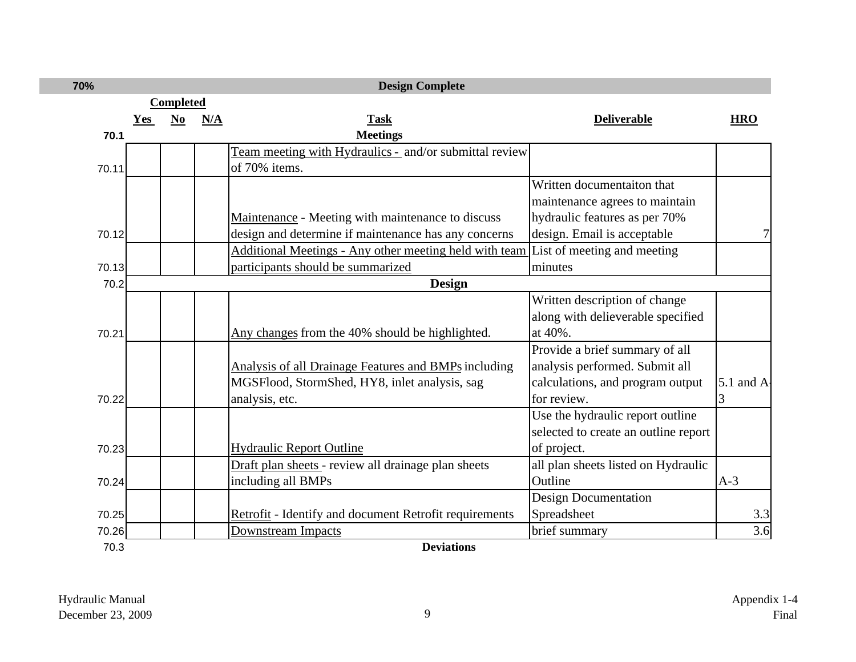| 70%   |     |                  |     | <b>Design Complete</b>                                        |                                      |                |
|-------|-----|------------------|-----|---------------------------------------------------------------|--------------------------------------|----------------|
|       |     | <b>Completed</b> |     |                                                               |                                      |                |
|       | Yes | N <sub>0</sub>   | N/A | <b>Task</b>                                                   | <b>Deliverable</b>                   | <b>HRO</b>     |
| 70.1  |     |                  |     | <b>Meetings</b>                                               |                                      |                |
|       |     |                  |     | Team meeting with Hydraulics - and/or submittal review        |                                      |                |
| 70.11 |     |                  |     | of 70% items.                                                 |                                      |                |
|       |     |                  |     |                                                               | Written documentaiton that           |                |
|       |     |                  |     |                                                               | maintenance agrees to maintain       |                |
|       |     |                  |     | Maintenance - Meeting with maintenance to discuss             | hydraulic features as per 70%        |                |
| 70.12 |     |                  |     | design and determine if maintenance has any concerns          | design. Email is acceptable          |                |
|       |     |                  |     | Additional Meetings - Any other meeting held with team        | List of meeting and meeting          |                |
| 70.13 |     |                  |     | participants should be summarized                             | minutes                              |                |
| 70.2  |     |                  |     | <b>Design</b>                                                 |                                      |                |
|       |     |                  |     |                                                               | Written description of change        |                |
|       |     |                  |     |                                                               | along with delieverable specified    |                |
| 70.21 |     |                  |     | Any changes from the 40% should be highlighted.               | at 40%.                              |                |
|       |     |                  |     |                                                               | Provide a brief summary of all       |                |
|       |     |                  |     | Analysis of all Drainage Features and BMPs including          | analysis performed. Submit all       |                |
|       |     |                  |     | MGSFlood, StormShed, HY8, inlet analysis, sag                 | calculations, and program output     | $5.1$ and $A1$ |
| 70.22 |     |                  |     | analysis, etc.                                                | for review.                          | 3              |
|       |     |                  |     |                                                               | Use the hydraulic report outline     |                |
|       |     |                  |     |                                                               | selected to create an outline report |                |
| 70.23 |     |                  |     | <b>Hydraulic Report Outline</b>                               | of project.                          |                |
|       |     |                  |     | Draft plan sheets - review all drainage plan sheets           | all plan sheets listed on Hydraulic  |                |
| 70.24 |     |                  |     | including all BMPs                                            | Outline                              | $A-3$          |
|       |     |                  |     |                                                               | <b>Design Documentation</b>          |                |
| 70.25 |     |                  |     | <b>Retrofit</b> - Identify and document Retrofit requirements | Spreadsheet                          | 3.3            |
| 70.26 |     |                  |     | <b>Downstream Impacts</b>                                     | brief summary                        | 3.6            |
| 70.3  |     |                  |     | <b>Deviations</b>                                             |                                      |                |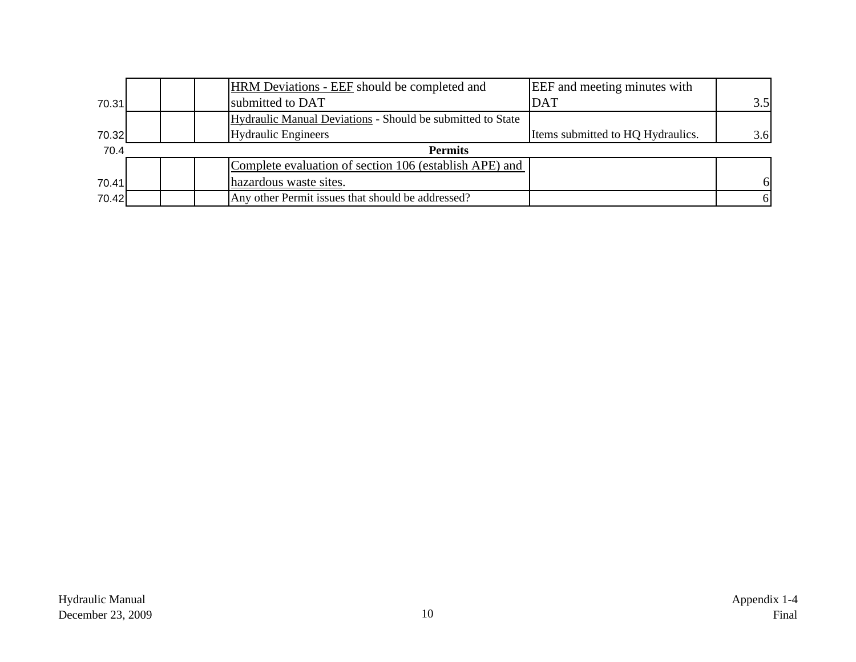|       | HRM Deviations - EEF should be completed and               | <b>EEF</b> and meeting minutes with |     |
|-------|------------------------------------------------------------|-------------------------------------|-----|
| 70.31 | submitted to DAT                                           | <b>DAT</b>                          | 3.5 |
|       | Hydraulic Manual Deviations - Should be submitted to State |                                     |     |
| 70.32 | <b>Hydraulic Engineers</b>                                 | Items submitted to HQ Hydraulics.   | 3.6 |
| 70.4  | <b>Permits</b>                                             |                                     |     |
|       | Complete evaluation of section 106 (establish APE) and     |                                     |     |
| 70.41 | hazardous waste sites.                                     |                                     |     |
| 70.42 | Any other Permit issues that should be addressed?          |                                     |     |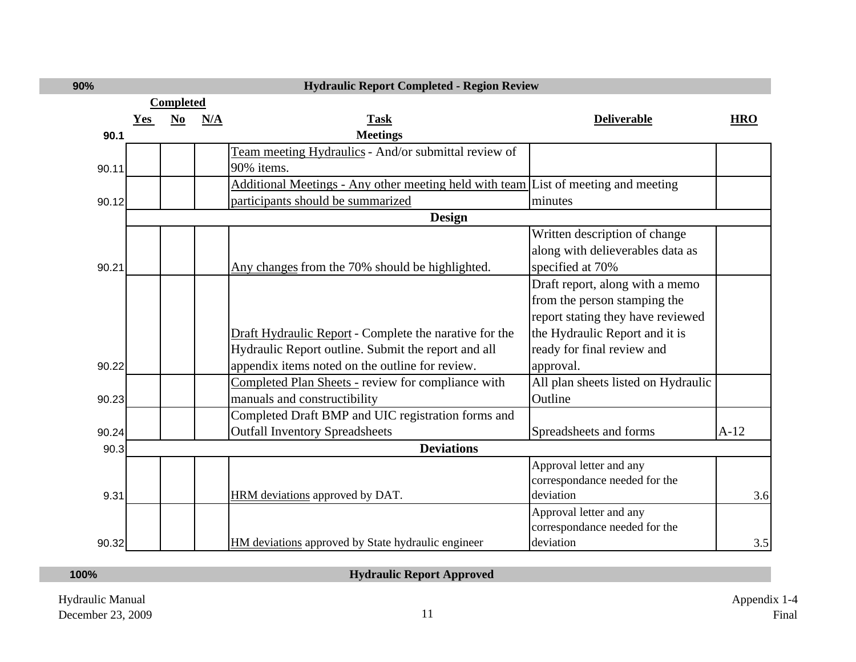| 90%   |            |           |     | <b>Hydraulic Report Completed - Region Review</b>                                  |                                     |            |
|-------|------------|-----------|-----|------------------------------------------------------------------------------------|-------------------------------------|------------|
|       |            | Completed |     |                                                                                    |                                     |            |
|       | <b>Yes</b> | $No$      | N/A | <b>Task</b>                                                                        | <b>Deliverable</b>                  | <b>HRO</b> |
| 90.1  |            |           |     | <b>Meetings</b>                                                                    |                                     |            |
|       |            |           |     | Team meeting Hydraulics - And/or submittal review of                               |                                     |            |
| 90.11 |            |           |     | 90% items.                                                                         |                                     |            |
|       |            |           |     | Additional Meetings - Any other meeting held with team List of meeting and meeting |                                     |            |
| 90.12 |            |           |     | participants should be summarized                                                  | minutes                             |            |
|       |            |           |     | <b>Design</b>                                                                      |                                     |            |
|       |            |           |     |                                                                                    | Written description of change       |            |
|       |            |           |     |                                                                                    | along with delieverables data as    |            |
| 90.21 |            |           |     | Any changes from the 70% should be highlighted.                                    | specified at 70%                    |            |
|       |            |           |     |                                                                                    | Draft report, along with a memo     |            |
|       |            |           |     |                                                                                    | from the person stamping the        |            |
|       |            |           |     |                                                                                    | report stating they have reviewed   |            |
|       |            |           |     | Draft Hydraulic Report - Complete the narative for the                             | the Hydraulic Report and it is      |            |
|       |            |           |     | Hydraulic Report outline. Submit the report and all                                | ready for final review and          |            |
| 90.22 |            |           |     | appendix items noted on the outline for review.                                    | approval.                           |            |
|       |            |           |     | Completed Plan Sheets - review for compliance with                                 | All plan sheets listed on Hydraulic |            |
| 90.23 |            |           |     | manuals and constructibility                                                       | Outline                             |            |
|       |            |           |     | Completed Draft BMP and UIC registration forms and                                 |                                     |            |
| 90.24 |            |           |     | <b>Outfall Inventory Spreadsheets</b>                                              | Spreadsheets and forms              | $A-12$     |
| 90.3  |            |           |     | <b>Deviations</b>                                                                  |                                     |            |
|       |            |           |     |                                                                                    | Approval letter and any             |            |
|       |            |           |     |                                                                                    | correspondance needed for the       |            |
| 9.31  |            |           |     | HRM deviations approved by DAT.                                                    | deviation                           | 3.6        |
|       |            |           |     |                                                                                    | Approval letter and any             |            |
|       |            |           |     |                                                                                    | correspondance needed for the       |            |
| 90.32 |            |           |     | HM deviations approved by State hydraulic engineer                                 | deviation                           | 3.5        |

## **100%**

**Hydraulic Report Approved**